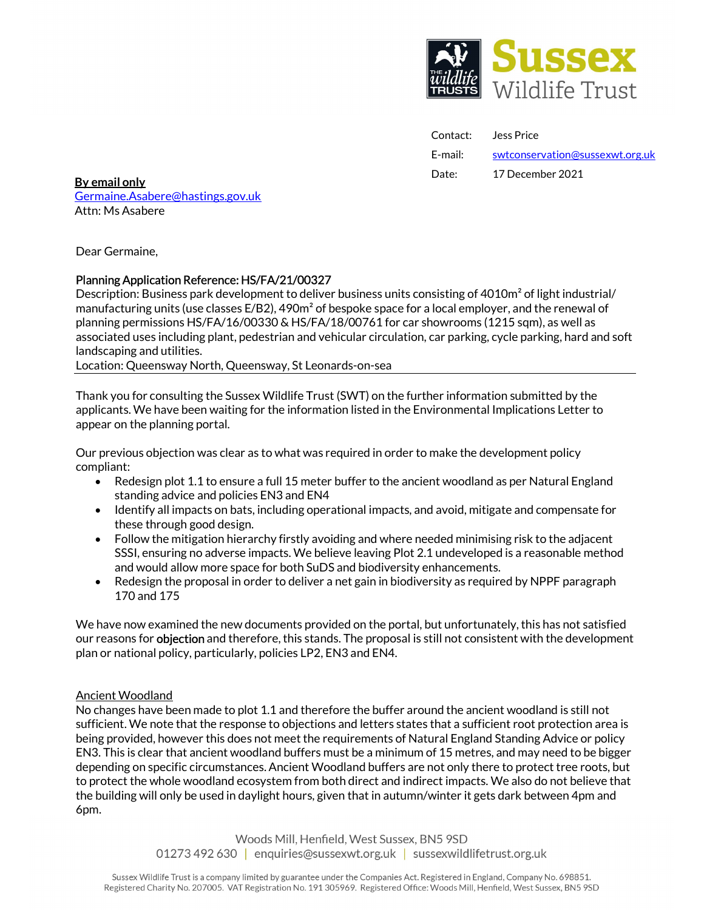

| Contact: | Jess Price                      |
|----------|---------------------------------|
| E-mail:  | swtconservation@sussexwt.org.uk |
| Date:    | 17 December 2021                |

Date: 17 December 2021 By email only Germaine.Asabere@hastings.gov.uk Attn: Ms Asabere

Dear Germaine,

# Planning Application Reference: HS/FA/21/00327

Description: Business park development to deliver business units consisting of 4010m<sup>2</sup> of light industrial/ manufacturing units (use classes  $E/B2$ ), 490 $m<sup>2</sup>$  of bespoke space for a local employer, and the renewal of planning permissions HS/FA/16/00330 & HS/FA/18/00761 for car showrooms (1215 sqm), as well as associated uses including plant, pedestrian and vehicular circulation, car parking, cycle parking, hard and soft landscaping and utilities.

Location: Queensway North, Queensway, St Leonards-on-sea

Thank you for consulting the Sussex Wildlife Trust (SWT) on the further information submitted by the applicants. We have been waiting for the information listed in the Environmental Implications Letter to appear on the planning portal.

Our previous objection was clear as to what was required in order to make the development policy compliant:

- Redesign plot 1.1 to ensure a full 15 meter buffer to the ancient woodland as per Natural England standing advice and policies EN3 and EN4
- Identify all impacts on bats, including operational impacts, and avoid, mitigate and compensate for these through good design.
- Follow the mitigation hierarchy firstly avoiding and where needed minimising risk to the adjacent SSSI, ensuring no adverse impacts. We believe leaving Plot 2.1 undeveloped is a reasonable method and would allow more space for both SuDS and biodiversity enhancements.
- Redesign the proposal in order to deliver a net gain in biodiversity as required by NPPF paragraph 170 and 175

We have now examined the new documents provided on the portal, but unfortunately, this has not satisfied our reasons for **objection** and therefore, this stands. The proposal is still not consistent with the development plan or national policy, particularly, policies LP2, EN3 and EN4.

#### Ancient Woodland

No changes have been made to plot 1.1 and therefore the buffer around the ancient woodland is still not sufficient. We note that the response to objections and letters states that a sufficient root protection area is being provided, however this does not meet the requirements of Natural England Standing Advice or policy EN3. This is clear that ancient woodland buffers must be a minimum of 15 metres, and may need to be bigger depending on specific circumstances. Ancient Woodland buffers are not only there to protect tree roots, but to protect the whole woodland ecosystem from both direct and indirect impacts. We also do not believe that the building will only be used in daylight hours, given that in autumn/winter it gets dark between 4pm and 6pm.

> Woods Mill, Henfield, West Sussex, BN5 9SD 01273 492 630 | enquiries@sussexwt.org.uk | sussexwildlifetrust.org.uk